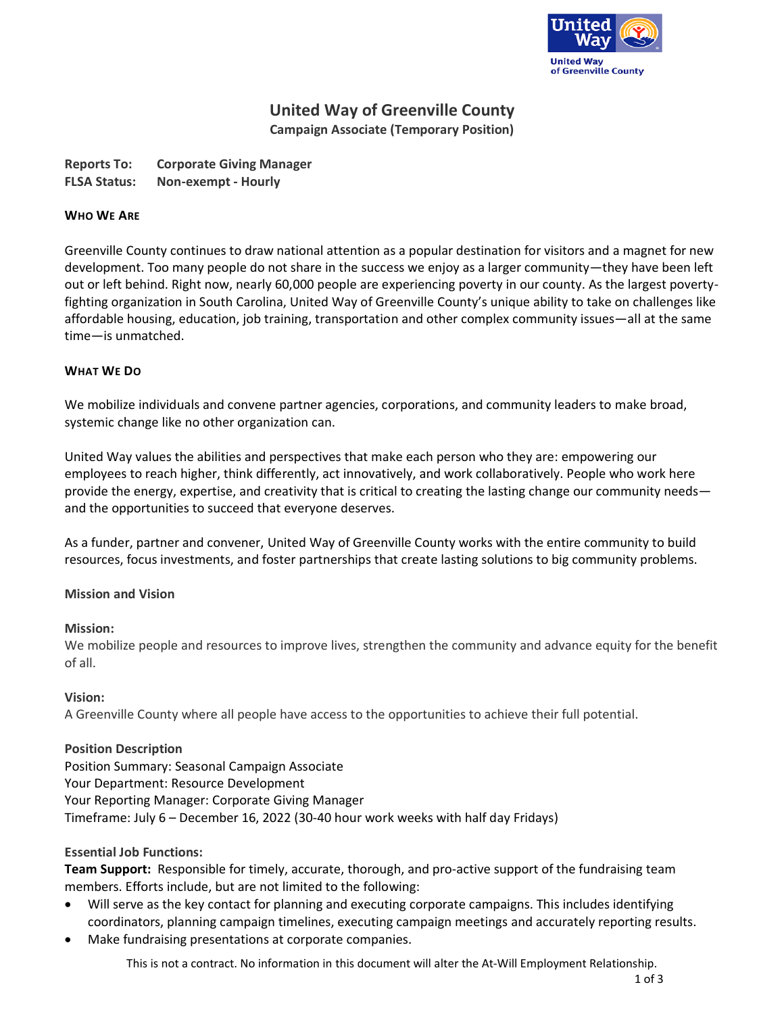

# **United Way of Greenville County**

**Campaign Associate (Temporary Position)**

| <b>Reports To:</b>  | <b>Corporate Giving Manager</b> |
|---------------------|---------------------------------|
| <b>FLSA Status:</b> | Non-exempt - Hourly             |

## **WHO WE ARE**

Greenville County continues to draw national attention as a popular destination for visitors and a magnet for new development. Too many people do not share in the success we enjoy as a larger community—they have been left out or left behind. Right now, nearly 60,000 people are experiencing poverty in our county. As the largest povertyfighting organization in South Carolina, United Way of Greenville County's unique ability to take on challenges like affordable housing, education, job training, transportation and other complex community issues—all at the same time—is unmatched.

## **WHAT WE DO**

We mobilize individuals and convene partner agencies, corporations, and community leaders to make broad, systemic change like no other organization can.

United Way values the abilities and perspectives that make each person who they are: empowering our employees to reach higher, think differently, act innovatively, and work collaboratively. People who work here provide the energy, expertise, and creativity that is critical to creating the lasting change our community needs and the opportunities to succeed that everyone deserves.

As a funder, partner and convener, United Way of Greenville County works with the entire community to build resources, focus investments, and foster partnerships that create lasting solutions to big community problems.

# **Mission and Vision**

#### **Mission:**

We mobilize people and resources to improve lives, strengthen the community and advance equity for the benefit of all.

#### **Vision:**

A Greenville County where all people have access to the opportunities to achieve their full potential.

# **Position Description**

Position Summary: Seasonal Campaign Associate Your Department: Resource Development Your Reporting Manager: Corporate Giving Manager Timeframe: July 6 – December 16, 2022 (30-40 hour work weeks with half day Fridays)

# **Essential Job Functions:**

**Team Support:** Responsible for timely, accurate, thorough, and pro-active support of the fundraising team members. Efforts include, but are not limited to the following:

- Will serve as the key contact for planning and executing corporate campaigns. This includes identifying coordinators, planning campaign timelines, executing campaign meetings and accurately reporting results.
- Make fundraising presentations at corporate companies.

This is not a contract. No information in this document will alter the At-Will Employment Relationship.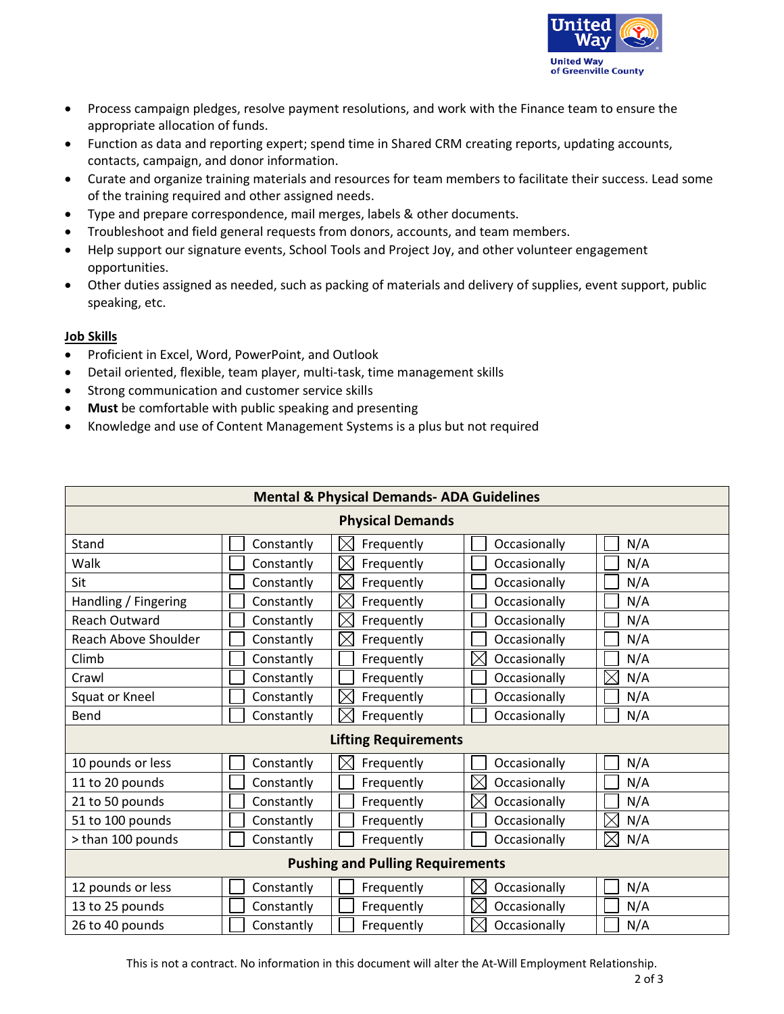

- Process campaign pledges, resolve payment resolutions, and work with the Finance team to ensure the appropriate allocation of funds.
- Function as data and reporting expert; spend time in Shared CRM creating reports, updating accounts, contacts, campaign, and donor information.
- Curate and organize training materials and resources for team members to facilitate their success. Lead some of the training required and other assigned needs.
- Type and prepare correspondence, mail merges, labels & other documents.
- Troubleshoot and field general requests from donors, accounts, and team members.
- Help support our signature events, School Tools and Project Joy, and other volunteer engagement opportunities.
- Other duties assigned as needed, such as packing of materials and delivery of supplies, event support, public speaking, etc.

# **Job Skills**

- Proficient in Excel, Word, PowerPoint, and Outlook
- Detail oriented, flexible, team player, multi-task, time management skills
- Strong communication and customer service skills
- **Must** be comfortable with public speaking and presenting
- Knowledge and use of Content Management Systems is a plus but not required

| <b>Mental &amp; Physical Demands- ADA Guidelines</b> |            |                           |                             |     |  |  |
|------------------------------------------------------|------------|---------------------------|-----------------------------|-----|--|--|
| <b>Physical Demands</b>                              |            |                           |                             |     |  |  |
| Stand                                                | Constantly | $\times$<br>Frequently    | Occasionally                | N/A |  |  |
| Walk                                                 | Constantly | $\Join$<br>Frequently     | Occasionally                | N/A |  |  |
| Sit                                                  | Constantly | ⋉<br>Frequently           | Occasionally                | N/A |  |  |
| Handling / Fingering                                 | Constantly | $\Join$<br>Frequently     | Occasionally                | N/A |  |  |
| <b>Reach Outward</b>                                 | Constantly | IX<br>Frequently          | Occasionally                | N/A |  |  |
| Reach Above Shoulder                                 | Constantly | $\times$<br>Frequently    | Occasionally                | N/A |  |  |
| Climb                                                | Constantly | Frequently                | $\boxtimes$<br>Occasionally | N/A |  |  |
| Crawl                                                | Constantly | Frequently                | Occasionally                | N/A |  |  |
| Squat or Kneel                                       | Constantly | $\boxtimes$<br>Frequently | Occasionally                | N/A |  |  |
| Bend                                                 | Constantly | Frequently                | Occasionally                | N/A |  |  |
| <b>Lifting Requirements</b>                          |            |                           |                             |     |  |  |
| 10 pounds or less                                    | Constantly | IX<br>Frequently          | Occasionally                | N/A |  |  |
| 11 to 20 pounds                                      | Constantly | Frequently                | $\times$<br>Occasionally    | N/A |  |  |
| 21 to 50 pounds                                      | Constantly | Frequently                | $\boxtimes$<br>Occasionally | N/A |  |  |
| 51 to 100 pounds                                     | Constantly | Frequently                | Occasionally                | N/A |  |  |
| > than 100 pounds                                    | Constantly | Frequently                | Occasionally                | N/A |  |  |
| <b>Pushing and Pulling Requirements</b>              |            |                           |                             |     |  |  |
| 12 pounds or less                                    | Constantly | Frequently                | $\Join$<br>Occasionally     | N/A |  |  |
| 13 to 25 pounds                                      | Constantly | Frequently                | $\times$<br>Occasionally    | N/A |  |  |
| 26 to 40 pounds                                      | Constantly | Frequently                | $\boxtimes$<br>Occasionally | N/A |  |  |

This is not a contract. No information in this document will alter the At-Will Employment Relationship.